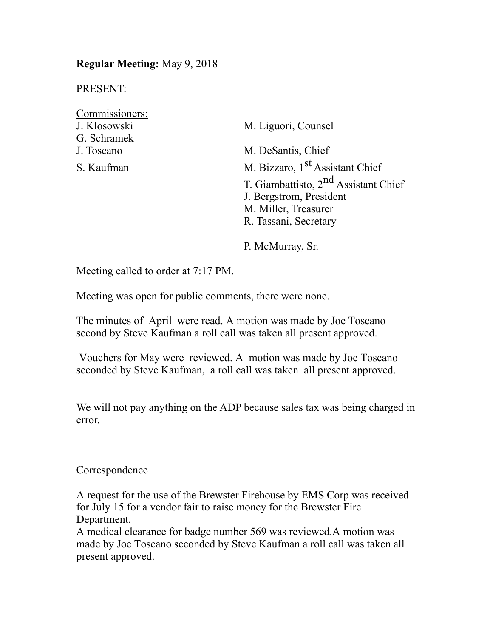## **Regular Meeting:** May 9, 2018

PRESENT:

| Commissioners: |                                                  |  |
|----------------|--------------------------------------------------|--|
| J. Klosowski   | M. Liguori, Counsel                              |  |
| G. Schramek    |                                                  |  |
| J. Toscano     | M. DeSantis, Chief                               |  |
| S. Kaufman     | M. Bizzaro, 1 <sup>st</sup> Assistant Chief      |  |
|                | T. Giambattisto, 2 <sup>nd</sup> Assistant Chief |  |
|                | J. Bergstrom, President                          |  |
|                | M. Miller, Treasurer                             |  |
|                | R. Tassani, Secretary                            |  |

P. McMurray, Sr.

Meeting called to order at 7:17 PM.

Meeting was open for public comments, there were none.

The minutes of April were read. A motion was made by Joe Toscano second by Steve Kaufman a roll call was taken all present approved.

 Vouchers for May were reviewed. A motion was made by Joe Toscano seconded by Steve Kaufman, a roll call was taken all present approved.

We will not pay anything on the ADP because sales tax was being charged in error.

Correspondence

A request for the use of the Brewster Firehouse by EMS Corp was received for July 15 for a vendor fair to raise money for the Brewster Fire Department.

A medical clearance for badge number 569 was reviewed.A motion was made by Joe Toscano seconded by Steve Kaufman a roll call was taken all present approved.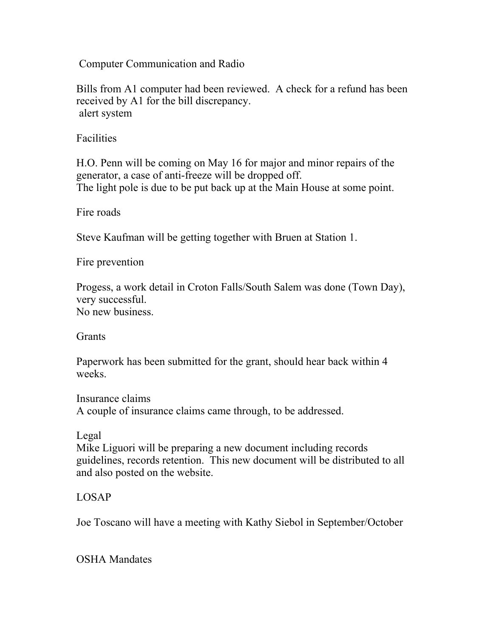Computer Communication and Radio

Bills from A1 computer had been reviewed. A check for a refund has been received by A1 for the bill discrepancy. alert system

**Facilities** 

H.O. Penn will be coming on May 16 for major and minor repairs of the generator, a case of anti-freeze will be dropped off. The light pole is due to be put back up at the Main House at some point.

Fire roads

Steve Kaufman will be getting together with Bruen at Station 1.

Fire prevention

Progess, a work detail in Croton Falls/South Salem was done (Town Day), very successful. No new business.

**Grants** 

Paperwork has been submitted for the grant, should hear back within 4 weeks.

Insurance claims A couple of insurance claims came through, to be addressed.

Legal

Mike Liguori will be preparing a new document including records guidelines, records retention. This new document will be distributed to all and also posted on the website.

## LOSAP

Joe Toscano will have a meeting with Kathy Siebol in September/October

OSHA Mandates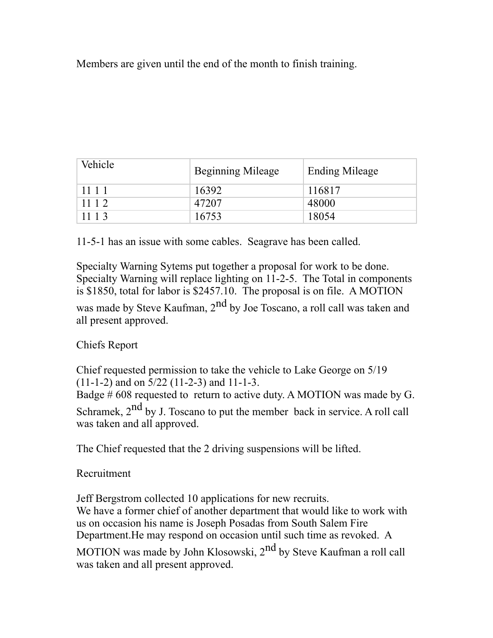Members are given until the end of the month to finish training.

| Vehicle | <b>Beginning Mileage</b> | <b>Ending Mileage</b> |
|---------|--------------------------|-----------------------|
| 1111    | 16392                    | 116817                |
| 1112    | 47207                    | 48000                 |
| 1113    | 16753                    | 18054                 |

11-5-1 has an issue with some cables. Seagrave has been called.

Specialty Warning Sytems put together a proposal for work to be done. Specialty Warning will replace lighting on 11-2-5. The Total in components is \$1850, total for labor is \$2457.10. The proposal is on file. A MOTION was made by Steve Kaufman,  $2<sup>nd</sup>$  by Joe Toscano, a roll call was taken and all present approved.

Chiefs Report

Chief requested permission to take the vehicle to Lake George on 5/19 (11-1-2) and on 5/22 (11-2-3) and 11-1-3.

Badge # 608 requested to return to active duty. A MOTION was made by G.

Schramek, 2<sup>nd</sup> by J. Toscano to put the member back in service. A roll call was taken and all approved.

The Chief requested that the 2 driving suspensions will be lifted.

Recruitment

Jeff Bergstrom collected 10 applications for new recruits. We have a former chief of another department that would like to work with us on occasion his name is Joseph Posadas from South Salem Fire Department.He may respond on occasion until such time as revoked. A

MOTION was made by John Klosowski, 2<sup>nd</sup> by Steve Kaufman a roll call was taken and all present approved.